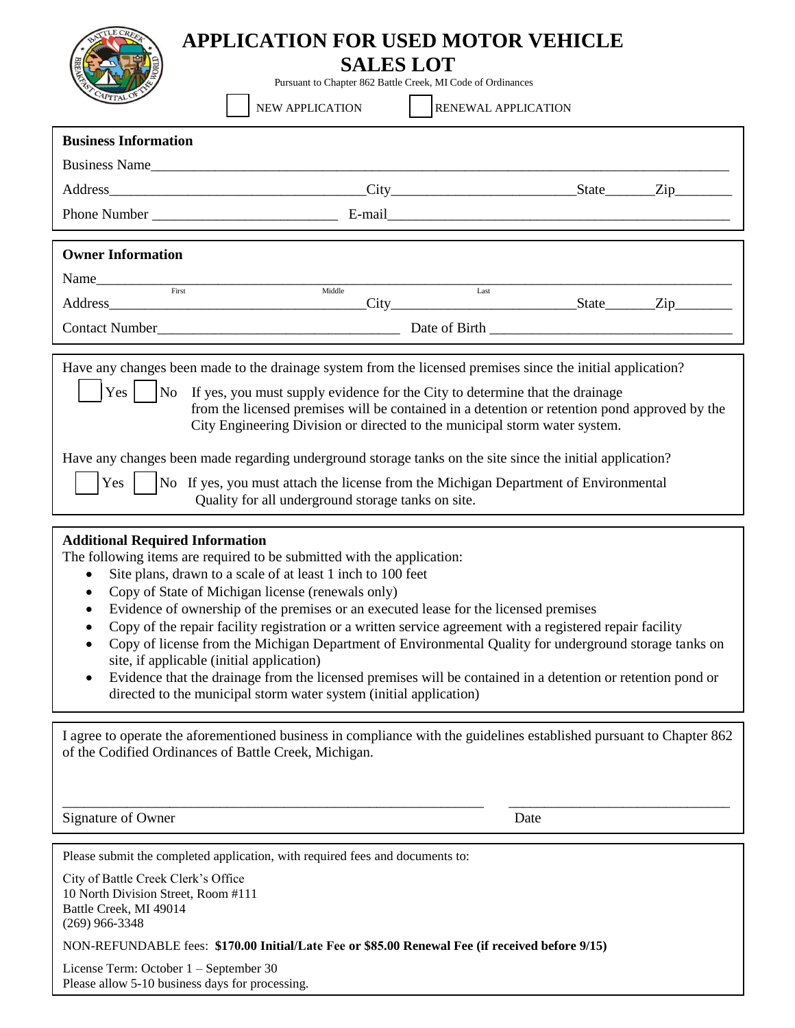## **APPLICATION FOR USED MOTOR VEHICLE**

## **SALES LOT**

Pursuant to Chapter 862 Battle Creek, MI Code of Ordinances

| CAPITAL                                                                                                                                                                                                                                                                                                                                                                                                                                                                                                                                                                                                                                                                                                     | NEW APPLICATION                                                                                                                                                                                                                                                                                                                                                                                                                                                                                                                                                                                                                                                                                                                             | <b>RENEWAL APPLICATION</b> |  |  |
|-------------------------------------------------------------------------------------------------------------------------------------------------------------------------------------------------------------------------------------------------------------------------------------------------------------------------------------------------------------------------------------------------------------------------------------------------------------------------------------------------------------------------------------------------------------------------------------------------------------------------------------------------------------------------------------------------------------|---------------------------------------------------------------------------------------------------------------------------------------------------------------------------------------------------------------------------------------------------------------------------------------------------------------------------------------------------------------------------------------------------------------------------------------------------------------------------------------------------------------------------------------------------------------------------------------------------------------------------------------------------------------------------------------------------------------------------------------------|----------------------------|--|--|
| <b>Business Information</b>                                                                                                                                                                                                                                                                                                                                                                                                                                                                                                                                                                                                                                                                                 |                                                                                                                                                                                                                                                                                                                                                                                                                                                                                                                                                                                                                                                                                                                                             |                            |  |  |
|                                                                                                                                                                                                                                                                                                                                                                                                                                                                                                                                                                                                                                                                                                             | Business Name                                                                                                                                                                                                                                                                                                                                                                                                                                                                                                                                                                                                                                                                                                                               |                            |  |  |
|                                                                                                                                                                                                                                                                                                                                                                                                                                                                                                                                                                                                                                                                                                             |                                                                                                                                                                                                                                                                                                                                                                                                                                                                                                                                                                                                                                                                                                                                             |                            |  |  |
|                                                                                                                                                                                                                                                                                                                                                                                                                                                                                                                                                                                                                                                                                                             |                                                                                                                                                                                                                                                                                                                                                                                                                                                                                                                                                                                                                                                                                                                                             |                            |  |  |
| <b>Owner Information</b>                                                                                                                                                                                                                                                                                                                                                                                                                                                                                                                                                                                                                                                                                    |                                                                                                                                                                                                                                                                                                                                                                                                                                                                                                                                                                                                                                                                                                                                             |                            |  |  |
|                                                                                                                                                                                                                                                                                                                                                                                                                                                                                                                                                                                                                                                                                                             |                                                                                                                                                                                                                                                                                                                                                                                                                                                                                                                                                                                                                                                                                                                                             |                            |  |  |
|                                                                                                                                                                                                                                                                                                                                                                                                                                                                                                                                                                                                                                                                                                             | Middle                                                                                                                                                                                                                                                                                                                                                                                                                                                                                                                                                                                                                                                                                                                                      | Last                       |  |  |
|                                                                                                                                                                                                                                                                                                                                                                                                                                                                                                                                                                                                                                                                                                             |                                                                                                                                                                                                                                                                                                                                                                                                                                                                                                                                                                                                                                                                                                                                             |                            |  |  |
|                                                                                                                                                                                                                                                                                                                                                                                                                                                                                                                                                                                                                                                                                                             |                                                                                                                                                                                                                                                                                                                                                                                                                                                                                                                                                                                                                                                                                                                                             |                            |  |  |
| Have any changes been made to the drainage system from the licensed premises since the initial application?<br>$Yes \mid No$<br>If yes, you must supply evidence for the City to determine that the drainage<br>from the licensed premises will be contained in a detention or retention pond approved by the<br>City Engineering Division or directed to the municipal storm water system.<br>Have any changes been made regarding underground storage tanks on the site since the initial application?<br>No If yes, you must attach the license from the Michigan Department of Environmental<br>$Yes$  <br>Quality for all underground storage tanks on site.<br><b>Additional Required Information</b> |                                                                                                                                                                                                                                                                                                                                                                                                                                                                                                                                                                                                                                                                                                                                             |                            |  |  |
| ٠<br>٠<br>$\bullet$<br>$\bullet$<br>٠                                                                                                                                                                                                                                                                                                                                                                                                                                                                                                                                                                                                                                                                       | The following items are required to be submitted with the application:<br>Site plans, drawn to a scale of at least 1 inch to 100 feet<br>Copy of State of Michigan license (renewals only)<br>Evidence of ownership of the premises or an executed lease for the licensed premises<br>Copy of the repair facility registration or a written service agreement with a registered repair facility<br>Copy of license from the Michigan Department of Environmental Quality for underground storage tanks on<br>site, if applicable (initial application)<br>Evidence that the drainage from the licensed premises will be contained in a detention or retention pond or<br>directed to the municipal storm water system (initial application) |                            |  |  |
|                                                                                                                                                                                                                                                                                                                                                                                                                                                                                                                                                                                                                                                                                                             | I agree to operate the aforementioned business in compliance with the guidelines established pursuant to Chapter 862<br>of the Codified Ordinances of Battle Creek, Michigan.                                                                                                                                                                                                                                                                                                                                                                                                                                                                                                                                                               |                            |  |  |
| Signature of Owner                                                                                                                                                                                                                                                                                                                                                                                                                                                                                                                                                                                                                                                                                          |                                                                                                                                                                                                                                                                                                                                                                                                                                                                                                                                                                                                                                                                                                                                             | Date                       |  |  |
| City of Battle Creek Clerk's Office<br>10 North Division Street, Room #111<br>Battle Creek, MI 49014<br>$(269)$ 966-3348                                                                                                                                                                                                                                                                                                                                                                                                                                                                                                                                                                                    | Please submit the completed application, with required fees and documents to:<br>NON-REFUNDABLE fees: \$170.00 Initial/Late Fee or \$85.00 Renewal Fee (if received before 9/15)                                                                                                                                                                                                                                                                                                                                                                                                                                                                                                                                                            |                            |  |  |

License Term: October 1 – September 30 Please allow 5-10 business days for processing.